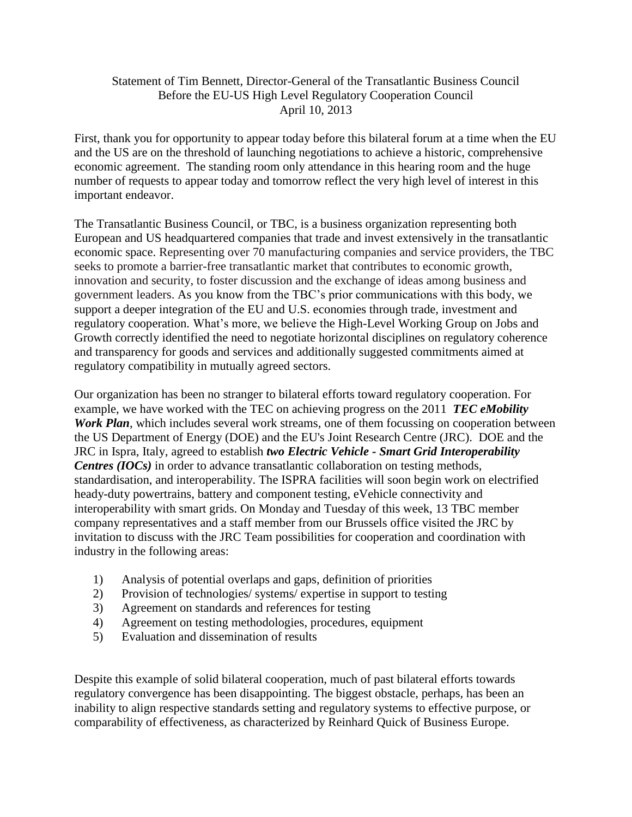## Statement of Tim Bennett, Director-General of the Transatlantic Business Council Before the EU-US High Level Regulatory Cooperation Council April 10, 2013

First, thank you for opportunity to appear today before this bilateral forum at a time when the EU and the US are on the threshold of launching negotiations to achieve a historic, comprehensive economic agreement. The standing room only attendance in this hearing room and the huge number of requests to appear today and tomorrow reflect the very high level of interest in this important endeavor.

The Transatlantic Business Council, or TBC, is a business organization representing both European and US headquartered companies that trade and invest extensively in the transatlantic economic space. Representing over 70 manufacturing companies and service providers, the TBC seeks to promote a barrier-free transatlantic market that contributes to economic growth, innovation and security, to foster discussion and the exchange of ideas among business and government leaders. As you know from the TBC's prior communications with this body, we support a deeper integration of the EU and U.S. economies through trade, investment and regulatory cooperation. What's more, we believe the High-Level Working Group on Jobs and Growth correctly identified the need to negotiate horizontal disciplines on regulatory coherence and transparency for goods and services and additionally suggested commitments aimed at regulatory compatibility in mutually agreed sectors.

Our organization has been no stranger to bilateral efforts toward regulatory cooperation. For example, we have worked with the TEC on achieving progress on the 2011 *TEC eMobility Work Plan*, which includes several work streams, one of them focussing on cooperation between the US Department of Energy (DOE) and the EU's Joint Research Centre (JRC). DOE and the JRC in Ispra, Italy, agreed to establish *two Electric Vehicle - Smart Grid Interoperability Centres (IOCs)* in order to advance transatlantic collaboration on testing methods, standardisation, and interoperability. The ISPRA facilities will soon begin work on electrified heady-duty powertrains, battery and component testing, eVehicle connectivity and interoperability with smart grids. On Monday and Tuesday of this week, 13 TBC member company representatives and a staff member from our Brussels office visited the JRC by invitation to discuss with the JRC Team possibilities for cooperation and coordination with industry in the following areas:

- 1) Analysis of potential overlaps and gaps, definition of priorities
- 2) Provision of technologies/ systems/ expertise in support to testing
- 3) Agreement on standards and references for testing
- 4) Agreement on testing methodologies, procedures, equipment
- 5) Evaluation and dissemination of results

Despite this example of solid bilateral cooperation, much of past bilateral efforts towards regulatory convergence has been disappointing. The biggest obstacle, perhaps, has been an inability to align respective standards setting and regulatory systems to effective purpose, or comparability of effectiveness, as characterized by Reinhard Quick of Business Europe.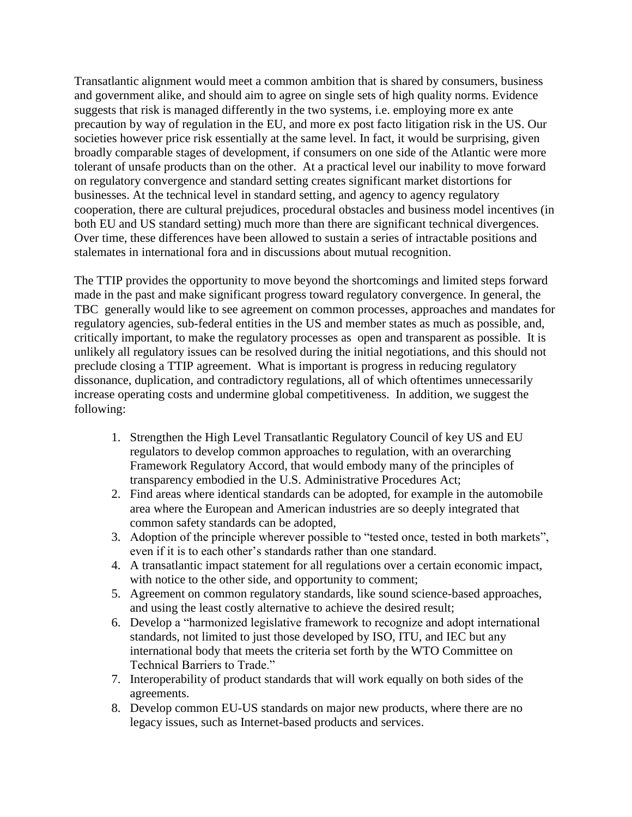Transatlantic alignment would meet a common ambition that is shared by consumers, business and government alike, and should aim to agree on single sets of high quality norms. Evidence suggests that risk is managed differently in the two systems, i.e. employing more ex ante precaution by way of regulation in the EU, and more ex post facto litigation risk in the US. Our societies however price risk essentially at the same level. In fact, it would be surprising, given broadly comparable stages of development, if consumers on one side of the Atlantic were more tolerant of unsafe products than on the other. At a practical level our inability to move forward on regulatory convergence and standard setting creates significant market distortions for businesses. At the technical level in standard setting, and agency to agency regulatory cooperation, there are cultural prejudices, procedural obstacles and business model incentives (in both EU and US standard setting) much more than there are significant technical divergences. Over time, these differences have been allowed to sustain a series of intractable positions and stalemates in international fora and in discussions about mutual recognition.

The TTIP provides the opportunity to move beyond the shortcomings and limited steps forward made in the past and make significant progress toward regulatory convergence. In general, the TBC generally would like to see agreement on common processes, approaches and mandates for regulatory agencies, sub-federal entities in the US and member states as much as possible, and, critically important, to make the regulatory processes as open and transparent as possible. It is unlikely all regulatory issues can be resolved during the initial negotiations, and this should not preclude closing a TTIP agreement. What is important is progress in reducing regulatory dissonance, duplication, and contradictory regulations, all of which oftentimes unnecessarily increase operating costs and undermine global competitiveness. In addition, we suggest the following:

- 1. Strengthen the High Level Transatlantic Regulatory Council of key US and EU regulators to develop common approaches to regulation, with an overarching Framework Regulatory Accord, that would embody many of the principles of transparency embodied in the U.S. Administrative Procedures Act;
- 2. Find areas where identical standards can be adopted, for example in the automobile area where the European and American industries are so deeply integrated that common safety standards can be adopted,
- 3. Adoption of the principle wherever possible to "tested once, tested in both markets", even if it is to each other's standards rather than one standard.
- 4. A transatlantic impact statement for all regulations over a certain economic impact, with notice to the other side, and opportunity to comment;
- 5. Agreement on common regulatory standards, like sound science-based approaches, and using the least costly alternative to achieve the desired result;
- 6. Develop a "harmonized legislative framework to recognize and adopt international standards, not limited to just those developed by ISO, ITU, and IEC but any international body that meets the criteria set forth by the WTO Committee on Technical Barriers to Trade."
- 7. Interoperability of product standards that will work equally on both sides of the agreements.
- 8. Develop common EU-US standards on major new products, where there are no legacy issues, such as Internet-based products and services.